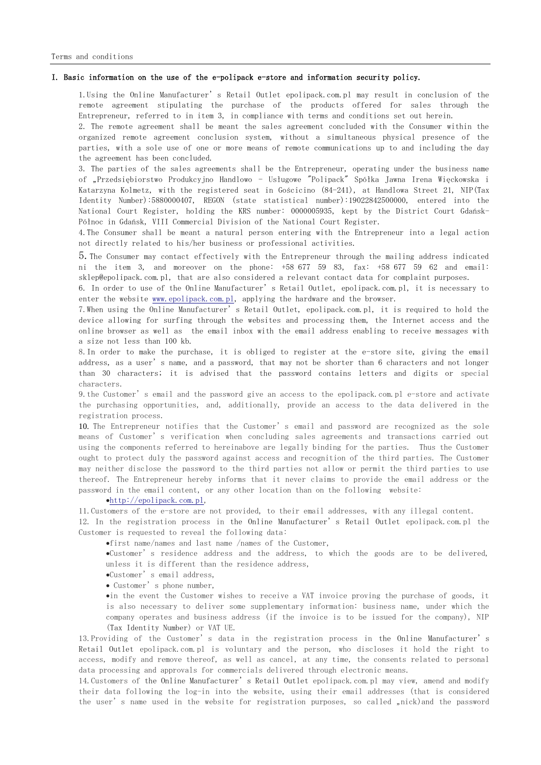# I. Basic information on the use of the e-polipack e-store and information security policy.

1.Using the Online Manufacturer's Retail Outlet epolipack.com.pl may result in conclusion of the remote agreement stipulating the purchase of the products offered for sales through the Entrepreneur, referred to in item 3, in compliance with terms and conditions set out herein.

2. The remote agreement shall be meant the sales agreement concluded with the Consumer within the organized remote agreement conclusion system, without a simultaneous physical presence of the parties, with a sole use of one or more means of remote communications up to and including the day the agreement has been concluded.

3. The parties of the sales agreements shall be the Entrepreneur, operating under the business name of "Przedsiębiorstwo Produkcyjno Handlowo - Usługowe "Polipack" Spółka Jawna Irena Więckowska i Katarzyna Kolmetz, with the registered seat in Gościcino (84-241), at Handlowa Street 21, NIP(Tax Identity Number):5880000407, REGON (state statistical number):19022842500000, entered into the National Court Register, holding the KRS number: 0000005935, kept by the District Court Gdańsk-Północ in Gdańsk, VIII Commercial Division of the National Court Register.

4.The Consumer shall be meant a natural person entering with the Entrepreneur into a legal action not directly related to his/her business or professional activities.

5.The Consumer may contact effectively with the Entrepreneur through the mailing address indicated ni the item 3, and moreover on the phone: +58 677 59 83, fax: +58 677 59 62 and email: sklep@epolipack.com.pl, that are also considered a relevant contact data for complaint purposes.

6. In order to use of the Online Manufacturer's Retail Outlet, epolipack.com.pl, it is necessary to enter the website  $www. epolipack.com.pl$ , applying the hardware and the browser.

7.When using the Online Manufacturer's Retail Outlet, epolipack.com.pl, it is required to hold the device allowing for surfing through the websites and processing them, the Internet access and the online browser as well as the email inbox with the email address enabling to receive messages with a size not less than 100 kb.

8.In order to make the purchase, it is obliged to register at the e-store site, giving the email address, as a user's name, and a password, that may not be shorter than 6 characters and not longer than 30 characters; it is advised that the password contains letters and digits or special characters.

9.the Customer's email and the password give an access to the epolipack.com.pl e-store and activate the purchasing opportunities, and, additionally, provide an access to the data delivered in the registration process.

10. The Entrepreneur notifies that the Customer's email and password are recognized as the sole means of Customer's verification when concluding sales agreements and transactions carried out using the components referred to hereinabove are legally binding for the parties. Thus the Customer ought to protect duly the password against access and recognition of the third parties. The Customer may neither disclose the password to the third parties not allow or permit the third parties to use thereof. The Entrepreneur hereby informs that it never claims to provide the email address or the password in the email content, or any other location than on the following website:

#### [http://epolipack.com.pl,](http://epolipack.com.pl/)

11.Customers of the e-store are not provided, to their email addresses, with any illegal content.

12. In the registration process in the Online Manufacturer's Retail Outlet epolipack.com.pl the Customer is requested to reveal the following data:

first name/names and last name /names of the Customer,

Customer's residence address and the address, to which the goods are to be delivered, unless it is different than the residence address,

Customer's email address,

Customer's phone number,

in the event the Customer wishes to receive a VAT invoice proving the purchase of goods, it is also necessary to deliver some supplementary information: business name, under which the company operates and business address (if the invoice is to be issued for the company), NIP (Tax Identity Number) or VAT UE.

13.Providing of the Customer's data in the registration process in the Online Manufacturer's Retail Outlet epolipack.com.pl is voluntary and the person, who discloses it hold the right to access, modify and remove thereof, as well as cancel, at any time, the consents related to personal data processing and approvals for commercials delivered through electronic means.

14.Customers of the Online Manufacturer's Retail Outlet epolipack.com.pl may view, amend and modify their data following the log-in into the website, using their email addresses (that is considered the user's name used in the website for registration purposes, so called "nick)and the password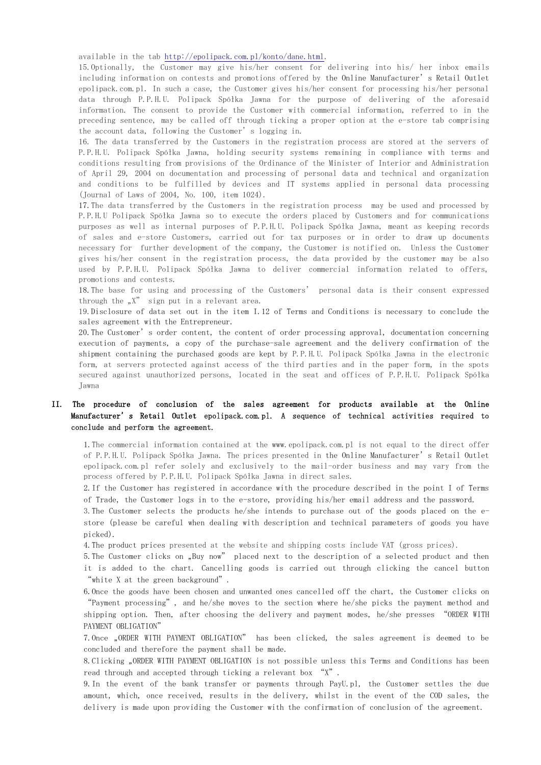available in the tab [http://epolipack.com.pl/konto/dane.html.](http://epolipack.com.pl/konto/dane.html)

15.Optionally, the Customer may give his/her consent for delivering into his/ her inbox emails including information on contests and promotions offered by the Online Manufacturer's Retail Outlet epolipack.com.pl. In such a case, the Customer gives his/her consent for processing his/her personal data through P.P.H.U. Polipack Spółka Jawna for the purpose of delivering of the aforesaid information. The consent to provide the Customer with commercial information, referred to in the preceding sentence, may be called off through ticking a proper option at the e-store tab comprising the account data, following the Customer's logging in.

16. The data transferred by the Customers in the registration process are stored at the servers of P.P.H.U. Polipack Spółka Jawna, holding security systems remaining in compliance with terms and conditions resulting from provisions of the Ordinance of the Minister of Interior and Administration of April 29, 2004 on documentation and processing of personal data and technical and organization and conditions to be fulfilled by devices and IT systems applied in personal data processing (Journal of Laws of 2004, No. 100, item 1024).

17.The data transferred by the Customers in the registration process may be used and processed by P.P.H.U Polipack Spółka Jawna so to execute the orders placed by Customers and for communications purposes as well as internal purposes of P.P.H.U. Polipack Spółka Jawna, meant as keeping records of sales and e-store Customers, carried out for tax purposes or in order to draw up documents necessary for further development of the company, the Customer is notified on. Unless the Customer gives his/her consent in the registration process, the data provided by the customer may be also used by P.P.H.U. Polipack Spółka Jawna to deliver commercial information related to offers, promotions and contests.

18.The base for using and processing of the Customers' personal data is their consent expressed through the  $\sqrt{x}$  sign put in a relevant area.

19.Disclosure of data set out in the item I.12 of Terms and Conditions is necessary to conclude the sales agreement with the Entrepreneur.

20.The Customer's order content, the content of order processing approval, documentation concerning execution of payments, a copy of the purchase-sale agreement and the delivery confirmation of the shipment containing the purchased goods are kept by P.P.H.U. Polipack Spółka Jawna in the electronic form, at servers protected against access of the third parties and in the paper form, in the spots secured against unauthorized persons, located in the seat and offices of P.P.H.U. Polipack Spółka Jawna

# II. The procedure of conclusion of the sales agreement for products available at the Online Manufacturer's Retail Outlet epolipack.com.pl. A sequence of technical activities required to conclude and perform the agreement.

1.The commercial information contained at the www.epolipack.com.pl is not equal to the direct offer of P.P.H.U. Polipack Spółka Jawna. The prices presented in the Online Manufacturer's Retail Outlet epolipack.com.pl refer solely and exclusively to the mail-order business and may vary from the process offered by P.P.H.U. Polipack Spółka Jawna in direct sales.

2.If the Customer has registered in accordance with the procedure described in the point I of Terms of Trade, the Customer logs in to the e-store, providing his/her email address and the password.

3.The Customer selects the products he/she intends to purchase out of the goods placed on the estore (please be careful when dealing with description and technical parameters of goods you have picked).

4.The product prices presented at the website and shipping costs include VAT (gross prices).

5. The Customer clicks on "Buy now" placed next to the description of a selected product and then it is added to the chart. Cancelling goods is carried out through clicking the cancel button "white X at the green background".

6.Once the goods have been chosen and unwanted ones cancelled off the chart, the Customer clicks on "Payment processing", and he/she moves to the section where he/she picks the payment method and shipping option. Then, after choosing the delivery and payment modes, he/she presses "ORDER WITH PAYMENT OBLIGATION"

7. Once "ORDER WITH PAYMENT OBLIGATION" has been clicked, the sales agreement is deemed to be concluded and therefore the payment shall be made.

8. Clicking "ORDER WITH PAYMENT OBLIGATION is not possible unless this Terms and Conditions has been read through and accepted through ticking a relevant box "X".

9.In the event of the bank transfer or payments through PayU.pl, the Customer settles the due amount, which, once received, results in the delivery, whilst in the event of the COD sales, the delivery is made upon providing the Customer with the confirmation of conclusion of the agreement.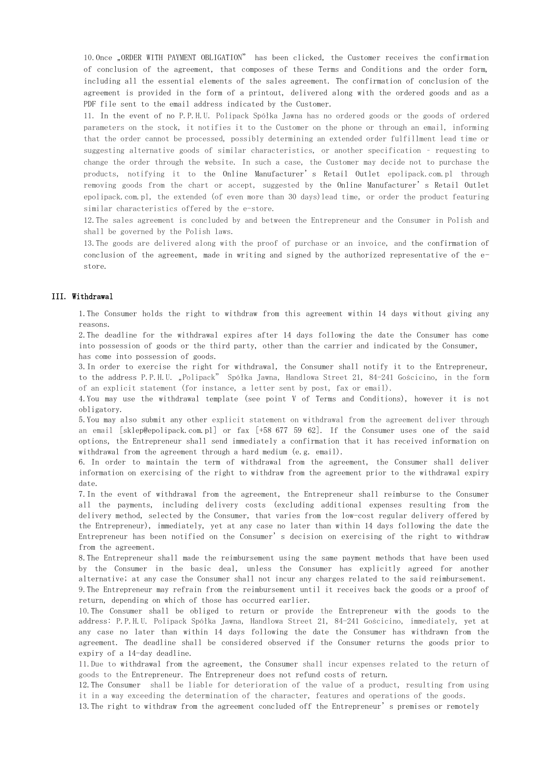10. Once "ORDER WITH PAYMENT OBLIGATION" has been clicked, the Customer receives the confirmation of conclusion of the agreement, that composes of these Terms and Conditions and the order form, including all the essential elements of the sales agreement. The confirmation of conclusion of the agreement is provided in the form of a printout, delivered along with the ordered goods and as a PDF file sent to the email address indicated by the Customer.

11. In the event of no P.P.H.U. Polipack Spółka Jawna has no ordered goods or the goods of ordered parameters on the stock, it notifies it to the Customer on the phone or through an email, informing that the order cannot be processed, possibly determining an extended order fulfillment lead time or suggesting alternative goods of similar characteristics, or another specification – requesting to change the order through the website. In such a case, the Customer may decide not to purchase the products, notifying it to the Online Manufacturer's Retail Outlet epolipack.com.pl through removing goods from the chart or accept, suggested by the Online Manufacturer's Retail Outlet epolipack.com.pl, the extended (of even more than 30 days)lead time, or order the product featuring similar characteristics offered by the e-store.

12.The sales agreement is concluded by and between the Entrepreneur and the Consumer in Polish and shall be governed by the Polish laws.

13.The goods are delivered along with the proof of purchase or an invoice, and the confirmation of conclusion of the agreement, made in writing and signed by the authorized representative of the estore.

### III. Withdrawal

1.The Consumer holds the right to withdraw from this agreement within 14 days without giving any reasons.

2.The deadline for the withdrawal expires after 14 days following the date the Consumer has come into possession of goods or the third party, other than the carrier and indicated by the Consumer, has come into possession of goods.

3.In order to exercise the right for withdrawal, the Consumer shall notify it to the Entrepreneur, to the address P.P.H.U. "Polipack" Spółka Jawna, Handlowa Street 21, 84-241 Gościcino, in the form of an explicit statement (for instance, a letter sent by post, fax or email).

4.You may use the withdrawal template (see point V of Terms and Conditions), however it is not obligatory.

5.You may also submit any other explicit statement on withdrawal from the agreement deliver through an email [sklep@epolipack.com.pl] or fax [+58 677 59 62]. If the Consumer uses one of the said options, the Entrepreneur shall send immediately a confirmation that it has received information on withdrawal from the agreement through a hard medium (e.g. email).

6. In order to maintain the term of withdrawal from the agreement, the Consumer shall deliver information on exercising of the right to withdraw from the agreement prior to the withdrawal expiry date.

7.In the event of withdrawal from the agreement, the Entrepreneur shall reimburse to the Consumer all the payments, including delivery costs (excluding additional expenses resulting from the delivery method, selected by the Consumer, that varies from the low-cost regular delivery offered by the Entrepreneur), immediately, yet at any case no later than within 14 days following the date the Entrepreneur has been notified on the Consumer's decision on exercising of the right to withdraw from the agreement.

8.The Entrepreneur shall made the reimbursement using the same payment methods that have been used by the Consumer in the basic deal, unless the Consumer has explicitly agreed for another alternative; at any case the Consumer shall not incur any charges related to the said reimbursement.

9.The Entrepreneur may refrain from the reimbursement until it receives back the goods or a proof of return, depending on which of those has occurred earlier.

10.The Consumer shall be obliged to return or provide the Entrepreneur with the goods to the address: P.P.H.U. Polipack Spółka Jawna, Handlowa Street 21, 84-241 Gościcino, immediately, yet at any case no later than within 14 days following the date the Consumer has withdrawn from the agreement. The deadline shall be considered observed if the Consumer returns the goods prior to expiry of a 14-day deadline.

11.Due to withdrawal from the agreement, the Consumer shall incur expenses related to the return of goods to the Entrepreneur. The Entrepreneur does not refund costs of return.

12.The Consumer shall be liable for deterioration of the value of a product, resulting from using it in a way exceeding the determination of the character, features and operations of the goods.

13.The right to withdraw from the agreement concluded off the Entrepreneur's premises or remotely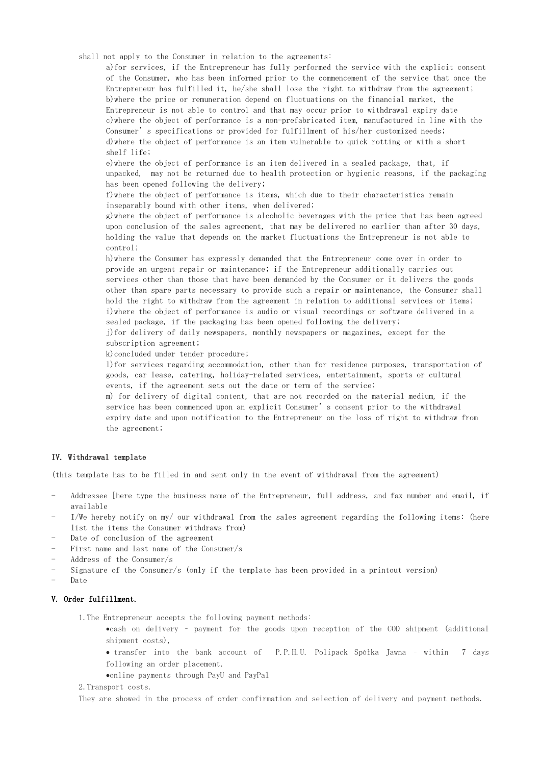shall not apply to the Consumer in relation to the agreements:

a)for services, if the Entrepreneur has fully performed the service with the explicit consent of the Consumer, who has been informed prior to the commencement of the service that once the Entrepreneur has fulfilled it, he/she shall lose the right to withdraw from the agreement; b)where the price or remuneration depend on fluctuations on the financial market, the Entrepreneur is not able to control and that may occur prior to withdrawal expiry date c)where the object of performance is a non-prefabricated item, manufactured in line with the Consumer's specifications or provided for fulfillment of his/her customized needs; d)where the object of performance is an item vulnerable to quick rotting or with a short shelf life;

e)where the object of performance is an item delivered in a sealed package, that, if unpacked, may not be returned due to health protection or hygienic reasons, if the packaging has been opened following the delivery;

f)where the object of performance is items, which due to their characteristics remain inseparably bound with other items, when delivered;

g)where the object of performance is alcoholic beverages with the price that has been agreed upon conclusion of the sales agreement, that may be delivered no earlier than after 30 days, holding the value that depends on the market fluctuations the Entrepreneur is not able to control;

h)where the Consumer has expressly demanded that the Entrepreneur come over in order to provide an urgent repair or maintenance; if the Entrepreneur additionally carries out services other than those that have been demanded by the Consumer or it delivers the goods other than spare parts necessary to provide such a repair or maintenance, the Consumer shall hold the right to withdraw from the agreement in relation to additional services or items; i)where the object of performance is audio or visual recordings or software delivered in a sealed package, if the packaging has been opened following the delivery;

j)for delivery of daily newspapers, monthly newspapers or magazines, except for the subscription agreement;

k)concluded under tender procedure;

l)for services regarding accommodation, other than for residence purposes, transportation of goods, car lease, catering, holiday-related services, entertainment, sports or cultural events, if the agreement sets out the date or term of the service;

m) for delivery of digital content, that are not recorded on the material medium, if the service has been commenced upon an explicit Consumer's consent prior to the withdrawal expiry date and upon notification to the Entrepreneur on the loss of right to withdraw from the agreement;

### IV. Withdrawal template

(this template has to be filled in and sent only in the event of withdrawal from the agreement)

- Addressee [here type the business name of the Entrepreneur, full address, and fax number and email, if available
- I/We hereby notify on my/ our withdrawal from the sales agreement regarding the following items: (here list the items the Consumer withdraws from)
- Date of conclusion of the agreement
- First name and last name of the Consumer/s
- Address of the Consumer/s
- Signature of the Consumer/s (only if the template has been provided in a printout version)
- Date

# V. Order fulfillment.

1.The Entrepreneur accepts the following payment methods:

- cash on delivery payment for the goods upon reception of the COD shipment (additional shipment costs),
- transfer into the bank account of P.P.H.U. Polipack Spółka Jawna within 7 days following an order placement.
- online payments through PayU and PayPal

2.Transport costs.

They are showed in the process of order confirmation and selection of delivery and payment methods.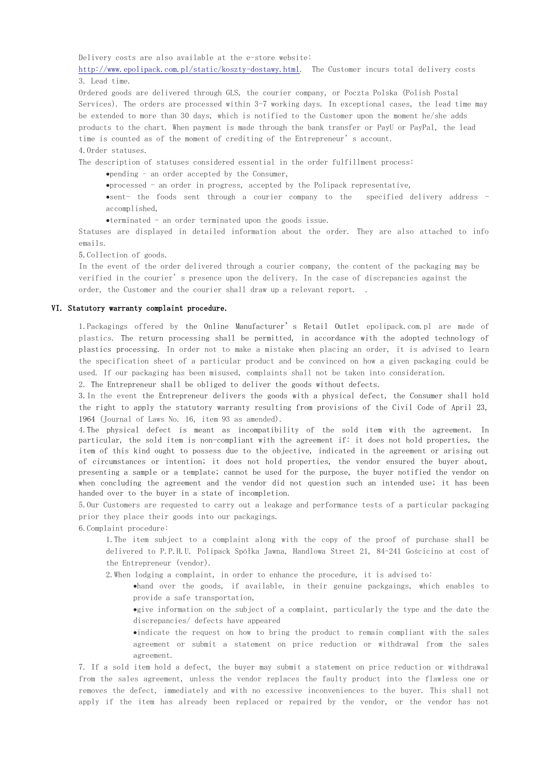Delivery costs are also available at the e-store website:

[http://www.epolipack.com.pl/static/koszty-dostawy.html.](http://www.epolipack.com.pl/static/koszty-dostawy.html) The Customer incurs total delivery costs 3. Lead time.

Ordered goods are delivered through GLS, the courier company, or Poczta Polska (Polish Postal Services). The orders are processed within 3-7 working days. In exceptional cases, the lead time may be extended to more than 30 days, which is notified to the Customer upon the moment he/she adds products to the chart. When payment is made through the bank transfer or PayU or PayPal, the lead time is counted as of the moment of crediting of the Entrepreneur's account. 4.Order statuses.

The description of statuses considered essential in the order fulfillment process:

pending – an order accepted by the Consumer,

 $\bullet$  processed - an order in progress, accepted by the Polipack representative,

sent- the foods sent through a courier company to the specified delivery address accomplished,

terminated - an order terminated upon the goods issue.

Statuses are displayed in detailed information about the order. They are also attached to info emails.

5.Collection of goods.

In the event of the order delivered through a courier company, the content of the packaging may be verified in the courier's presence upon the delivery. In the case of discrepancies against the order, the Customer and the courier shall draw up a relevant report. .

#### VI. Statutory warranty complaint procedure.

1.Packagings offered by the Online Manufacturer's Retail Outlet epolipack.com.pl are made of plastics. The return processing shall be permitted, in accordance with the adopted technology of plastics processing. In order not to make a mistake when placing an order, it is advised to learn the specification sheet of a particular product and be convinced on how a given packaging could be used. If our packaging has been misused, complaints shall not be taken into consideration.

2. The Entrepreneur shall be obliged to deliver the goods without defects.

3.In the event the Entrepreneur delivers the goods with a physical defect, the Consumer shall hold the right to apply the statutory warranty resulting from provisions of the Civil Code of April 23, 1964 (Journal of Laws No. 16, item 93 as amended).

4.The physical defect is meant as incompatibility of the sold item with the agreement. In particular, the sold item is non-compliant with the agreement if: it does not hold properties, the item of this kind ought to possess due to the objective, indicated in the agreement or arising out of circumstances or intention; it does not hold properties, the vendor ensured the buyer about, presenting a sample or a template; cannot be used for the purpose, the buyer notified the vendor on when concluding the agreement and the vendor did not question such an intended use; it has been handed over to the buyer in a state of incompletion.

5.Our Customers are requested to carry out a leakage and performance tests of a particular packaging prior they place their goods into our packagings.

6.Complaint procedure:

1.The item subject to a complaint along with the copy of the proof of purchase shall be delivered to P.P.H.U. Polipack Spółka Jawna, Handlowa Street 21, 84-241 Gościcino at cost of the Entrepreneur (vendor).

2.When lodging a complaint, in order to enhance the procedure, it is advised to:

hand over the goods, if available, in their genuine packgaings, which enables to provide a safe transportation,

give information on the subject of a complaint, particularly the type and the date the discrepancies/ defects have appeared

indicate the request on how to bring the product to remain compliant with the sales agreement or submit a statement on price reduction or withdrawal from the sales agreement.

7. If a sold item hold a defect, the buyer may submit a statement on price reduction or withdrawal from the sales agreement, unless the vendor replaces the faulty product into the flawless one or removes the defect, immediately and with no excessive inconveniences to the buyer. This shall not apply if the item has already been replaced or repaired by the vendor, or the vendor has not